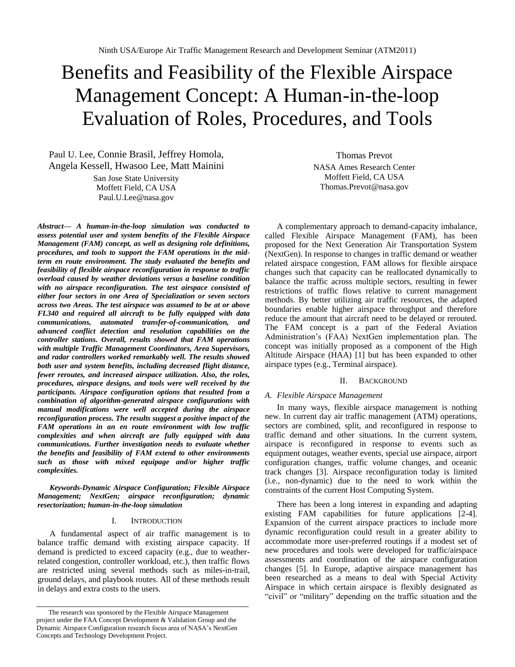# Benefits and Feasibility of the Flexible Airspace Management Concept: A Human-in-the-loop Evaluation of Roles, Procedures, and Tools

Paul U. Lee, Connie Brasil, Jeffrey Homola, Angela Kessell, Hwasoo Lee, Matt Mainini

> San Jose State University Moffett Field, CA USA Paul.U.Lee@nasa.gov

*Abstract— A human-in-the-loop simulation was conducted to assess potential user and system benefits of the Flexible Airspace Management (FAM) concept, as well as designing role definitions, procedures, and tools to support the FAM operations in the midterm en route environment. The study evaluated the benefits and feasibility of flexible airspace reconfiguration in response to traffic overload caused by weather deviations versus a baseline condition with no airspace reconfiguration. The test airspace consisted of either four sectors in one Area of Specialization or seven sectors across two Areas. The test airspace was assumed to be at or above FL340 and required all aircraft to be fully equipped with data communications, automated transfer-of-communication, and advanced conflict detection and resolution capabilities on the controller stations. Overall, results showed that FAM operations with multiple Traffic Management Coordinators, Area Supervisors, and radar controllers worked remarkably well. The results showed both user and system benefits, including decreased flight distance, fewer reroutes, and increased airspace utilization. Also, the roles, procedures, airspace designs, and tools were well received by the participants. Airspace configuration options that resulted from a combination of algorithm-generated airspace configurations with manual modifications were well accepted during the airspace reconfiguration process. The results suggest a positive impact of the FAM operations in an en route environment with low traffic complexities and when aircraft are fully equipped with data communications. Further investigation needs to evaluate whether the benefits and feasibility of FAM extend to other environments such as those with mixed equipage and/or higher traffic complexities.*

*Keywords-Dynamic Airspace Configuration; Flexible Airspace Management; NextGen; airspace reconfiguration; dynamic resectorization; human-in-the-loop simulation*

## I. INTRODUCTION

A fundamental aspect of air traffic management is to balance traffic demand with existing airspace capacity. If demand is predicted to exceed capacity (e.g., due to weatherrelated congestion, controller workload, etc.), then traffic flows are restricted using several methods such as miles-in-trail, ground delays, and playbook routes. All of these methods result in delays and extra costs to the users.

Thomas Prevot NASA Ames Research Center Moffett Field, CA USA Thomas.Prevot@nasa.gov

A complementary approach to demand-capacity imbalance, called Flexible Airspace Management (FAM), has been proposed for the Next Generation Air Transportation System (NextGen). In response to changes in traffic demand or weather related airspace congestion, FAM allows for flexible airspace changes such that capacity can be reallocated dynamically to balance the traffic across multiple sectors, resulting in fewer restrictions of traffic flows relative to current management methods. By better utilizing air traffic resources, the adapted boundaries enable higher airspace throughput and therefore reduce the amount that aircraft need to be delayed or rerouted. The FAM concept is a part of the Federal Aviation Administration"s (FAA) NextGen implementation plan. The concept was initially proposed as a component of the High Altitude Airspace (HAA) [1] but has been expanded to other airspace types (e.g., Terminal airspace).

#### II. BACKGROUND

## *A. Flexible Airspace Management*

In many ways, flexible airspace management is nothing new. In current day air traffic management (ATM) operations, sectors are combined, split, and reconfigured in response to traffic demand and other situations. In the current system, airspace is reconfigured in response to events such as equipment outages, weather events, special use airspace, airport configuration changes, traffic volume changes, and oceanic track changes [3]. Airspace reconfiguration today is limited (i.e., non-dynamic) due to the need to work within the constraints of the current Host Computing System.

There has been a long interest in expanding and adapting existing FAM capabilities for future applications [2-4]. Expansion of the current airspace practices to include more dynamic reconfiguration could result in a greater ability to accommodate more user-preferred routings if a modest set of new procedures and tools were developed for traffic/airspace assessments and coordination of the airspace configuration changes [5]. In Europe, adaptive airspace management has been researched as a means to deal with Special Activity Airspace in which certain airspace is flexibly designated as "civil" or "military" depending on the traffic situation and the

The research was sponsored by the Flexible Airspace Management project under the FAA Concept Development & Validation Group and the Dynamic Airspace Configuration research focus area of NASA"s NextGen Concepts and Technology Development Project.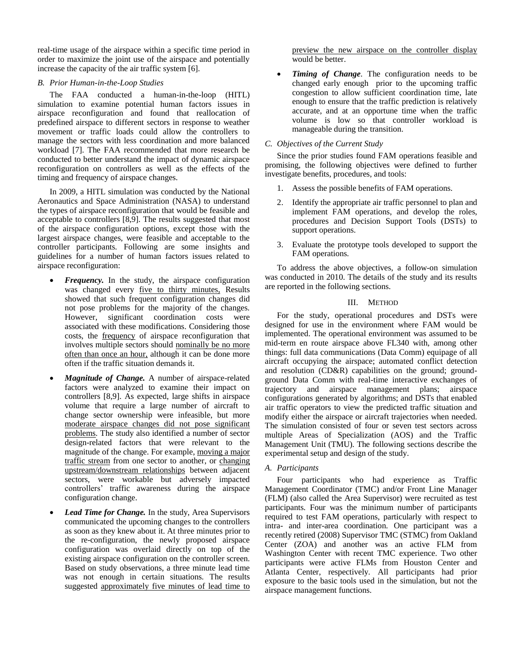real-time usage of the airspace within a specific time period in order to maximize the joint use of the airspace and potentially increase the capacity of the air traffic system [6].

## *B. Prior Human-in-the-Loop Studies*

The FAA conducted a human-in-the-loop (HITL) simulation to examine potential human factors issues in airspace reconfiguration and found that reallocation of predefined airspace to different sectors in response to weather movement or traffic loads could allow the controllers to manage the sectors with less coordination and more balanced workload [7]. The FAA recommended that more research be conducted to better understand the impact of dynamic airspace reconfiguration on controllers as well as the effects of the timing and frequency of airspace changes.

In 2009, a HITL simulation was conducted by the National Aeronautics and Space Administration (NASA) to understand the types of airspace reconfiguration that would be feasible and acceptable to controllers [8,9]. The results suggested that most of the airspace configuration options, except those with the largest airspace changes, were feasible and acceptable to the controller participants. Following are some insights and guidelines for a number of human factors issues related to airspace reconfiguration:

- *Frequency*. In the study, the airspace configuration was changed every *five to thirty minutes*, Results showed that such frequent configuration changes did not pose problems for the majority of the changes. However, significant coordination costs were associated with these modifications. Considering those costs, the frequency of airspace reconfiguration that involves multiple sectors should nominally be no more often than once an hour, although it can be done more often if the traffic situation demands it.
- *Magnitude of Change.* A number of airspace-related factors were analyzed to examine their impact on controllers [8,9]. As expected, large shifts in airspace volume that require a large number of aircraft to change sector ownership were infeasible, but more moderate airspace changes did not pose significant problems. The study also identified a number of sector design-related factors that were relevant to the magnitude of the change. For example, moving a major traffic stream from one sector to another, or changing upstream/downstream relationships between adjacent sectors, were workable but adversely impacted controllers" traffic awareness during the airspace configuration change.
- *Lead Time for Change.* In the study, Area Supervisors communicated the upcoming changes to the controllers as soon as they knew about it. At three minutes prior to the re-configuration, the newly proposed airspace configuration was overlaid directly on top of the existing airspace configuration on the controller screen. Based on study observations, a three minute lead time was not enough in certain situations. The results suggested approximately five minutes of lead time to

preview the new airspace on the controller display would be better.

 *Timing of Change*. The configuration needs to be changed early enough prior to the upcoming traffic congestion to allow sufficient coordination time, late enough to ensure that the traffic prediction is relatively accurate, and at an opportune time when the traffic volume is low so that controller workload is manageable during the transition.

## *C. Objectives of the Current Study*

Since the prior studies found FAM operations feasible and promising, the following objectives were defined to further investigate benefits, procedures, and tools:

- 1. Assess the possible benefits of FAM operations.
- 2. Identify the appropriate air traffic personnel to plan and implement FAM operations, and develop the roles, procedures and Decision Support Tools (DSTs) to support operations.
- 3. Evaluate the prototype tools developed to support the FAM operations.

To address the above objectives, a follow-on simulation was conducted in 2010. The details of the study and its results are reported in the following sections.

## III. METHOD

For the study, operational procedures and DSTs were designed for use in the environment where FAM would be implemented. The operational environment was assumed to be mid-term en route airspace above FL340 with, among other things: full data communications (Data Comm) equipage of all aircraft occupying the airspace; automated conflict detection and resolution (CD&R) capabilities on the ground; groundground Data Comm with real-time interactive exchanges of trajectory and airspace management plans; airspace configurations generated by algorithms; and DSTs that enabled air traffic operators to view the predicted traffic situation and modify either the airspace or aircraft trajectories when needed. The simulation consisted of four or seven test sectors across multiple Areas of Specialization (AOS) and the Traffic Management Unit (TMU). The following sections describe the experimental setup and design of the study.

# *A. Participants*

Four participants who had experience as Traffic Management Coordinator (TMC) and/or Front Line Manager (FLM) (also called the Area Supervisor) were recruited as test participants. Four was the minimum number of participants required to test FAM operations, particularly with respect to intra- and inter-area coordination. One participant was a recently retired (2008) Supervisor TMC (STMC) from Oakland Center (ZOA) and another was an active FLM from Washington Center with recent TMC experience. Two other participants were active FLMs from Houston Center and Atlanta Center, respectively. All participants had prior exposure to the basic tools used in the simulation, but not the airspace management functions.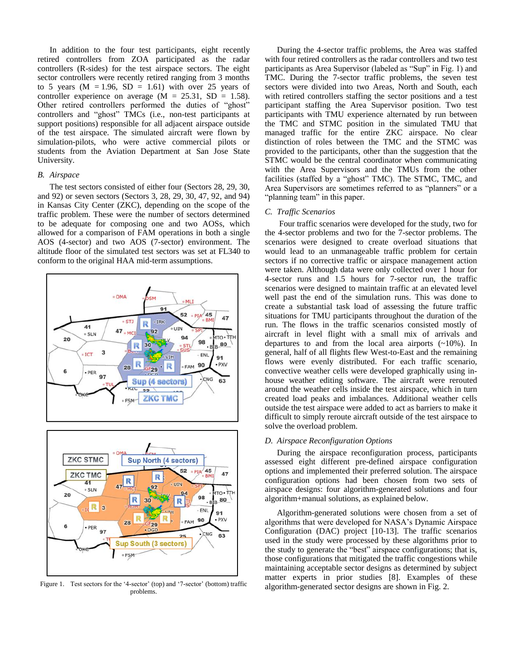In addition to the four test participants, eight recently retired controllers from ZOA participated as the radar controllers (R-sides) for the test airspace sectors. The eight sector controllers were recently retired ranging from 3 months to 5 years  $(M = 1.96, SD = 1.61)$  with over 25 years of controller experience on average  $(M = 25.31, SD = 1.58)$ . Other retired controllers performed the duties of "ghost" controllers and "ghost" TMCs (i.e., non-test participants at support positions) responsible for all adjacent airspace outside of the test airspace. The simulated aircraft were flown by simulation-pilots, who were active commercial pilots or students from the Aviation Department at San Jose State University.

## *B. Airspace*

The test sectors consisted of either four (Sectors 28, 29, 30, and 92) or seven sectors (Sectors 3, 28, 29, 30, 47, 92, and 94) in Kansas City Center (ZKC), depending on the scope of the traffic problem. These were the number of sectors determined to be adequate for composing one and two AOSs, which allowed for a comparison of FAM operations in both a single AOS (4-sector) and two AOS (7-sector) environment. The altitude floor of the simulated test sectors was set at FL340 to conform to the original HAA mid-term assumptions.





Figure 1. Test sectors for the '4-sector' (top) and '7-sector' (bottom) traffic problems.

During the 4-sector traffic problems, the Area was staffed with four retired controllers as the radar controllers and two test participants as Area Supervisor (labeled as "Sup" in Fig. 1) and TMC. During the 7-sector traffic problems, the seven test sectors were divided into two Areas, North and South, each with retired controllers staffing the sector positions and a test participant staffing the Area Supervisor position. Two test participants with TMU experience alternated by run between the TMC and STMC position in the simulated TMU that managed traffic for the entire ZKC airspace. No clear distinction of roles between the TMC and the STMC was provided to the participants, other than the suggestion that the STMC would be the central coordinator when communicating with the Area Supervisors and the TMUs from the other facilities (staffed by a "ghost" TMC). The STMC, TMC, and Area Supervisors are sometimes referred to as "planners" or a "planning team" in this paper.

#### *C. Traffic Scenarios*

Four traffic scenarios were developed for the study, two for the 4-sector problems and two for the 7-sector problems. The scenarios were designed to create overload situations that would lead to an unmanageable traffic problem for certain sectors if no corrective traffic or airspace management action were taken. Although data were only collected over 1 hour for 4-sector runs and 1.5 hours for 7-sector run, the traffic scenarios were designed to maintain traffic at an elevated level well past the end of the simulation runs. This was done to create a substantial task load of assessing the future traffic situations for TMU participants throughout the duration of the run. The flows in the traffic scenarios consisted mostly of aircraft in level flight with a small mix of arrivals and departures to and from the local area airports  $(\sim 10\%)$ . In general, half of all flights flew West-to-East and the remaining flows were evenly distributed. For each traffic scenario, convective weather cells were developed graphically using inhouse weather editing software. The aircraft were rerouted around the weather cells inside the test airspace, which in turn created load peaks and imbalances. Additional weather cells outside the test airspace were added to act as barriers to make it difficult to simply reroute aircraft outside of the test airspace to solve the overload problem.

## *D. Airspace Reconfiguration Options*

During the airspace reconfiguration process, participants assessed eight different pre-defined airspace configuration options and implemented their preferred solution. The airspace configuration options had been chosen from two sets of airspace designs: four algorithm-generated solutions and four algorithm+manual solutions, as explained below.

Algorithm-generated solutions were chosen from a set of algorithms that were developed for NASA"s Dynamic Airspace Configuration (DAC) project [10-13]. The traffic scenarios used in the study were processed by these algorithms prior to the study to generate the "best" airspace configurations; that is, those configurations that mitigated the traffic congestions while maintaining acceptable sector designs as determined by subject matter experts in prior studies [8]. Examples of these algorithm-generated sector designs are shown in Fig. 2.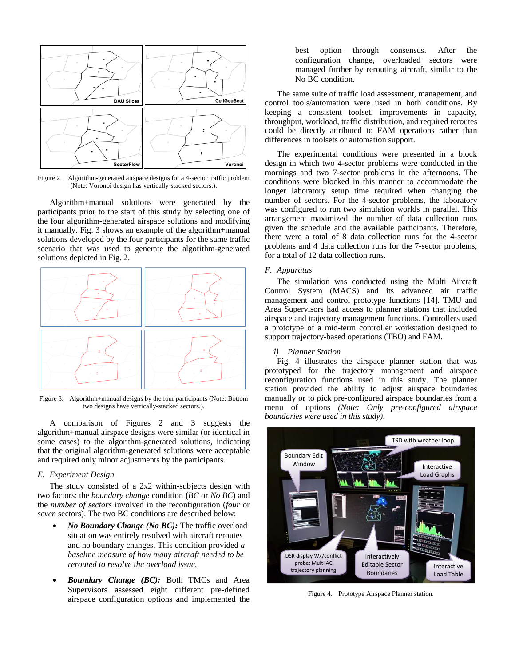

Figure 2. Algorithm-generated airspace designs for a 4-sector traffic problem (Note: Voronoi design has vertically-stacked sectors.).

Algorithm+manual solutions were generated by the participants prior to the start of this study by selecting one of the four algorithm-generated airspace solutions and modifying it manually. Fig. 3 shows an example of the algorithm+manual solutions developed by the four participants for the same traffic scenario that was used to generate the algorithm-generated solutions depicted in Fig. 2.



Figure 3. Algorithm+manual designs by the four participants (Note: Bottom two designs have vertically-stacked sectors.).

A comparison of Figures 2 and 3 suggests the algorithm+manual airspace designs were similar (or identical in some cases) to the algorithm-generated solutions, indicating that the original algorithm-generated solutions were acceptable and required only minor adjustments by the participants.

#### *E. Experiment Design*

The study consisted of a 2x2 within-subjects design with two factors: the *boundary change* condition **(***BC* or *No BC***)** and the *number of sectors* involved in the reconfiguration (*four* or *seven* sectors). The two BC conditions are described below:

- *No Boundary Change (No BC):* The traffic overload situation was entirely resolved with aircraft reroutes and no boundary changes. This condition provided *a baseline measure of how many aircraft needed to be rerouted to resolve the overload issue.*
- *Boundary Change (BC):* Both TMCs and Area Supervisors assessed eight different pre-defined airspace configuration options and implemented the

best option through consensus. After the configuration change, overloaded sectors were managed further by rerouting aircraft, similar to the No BC condition.

The same suite of traffic load assessment, management, and control tools/automation were used in both conditions. By keeping a consistent toolset, improvements in capacity, throughput, workload, traffic distribution, and required reroutes could be directly attributed to FAM operations rather than differences in toolsets or automation support.

The experimental conditions were presented in a block design in which two 4-sector problems were conducted in the mornings and two 7-sector problems in the afternoons. The conditions were blocked in this manner to accommodate the longer laboratory setup time required when changing the number of sectors. For the 4-sector problems, the laboratory was configured to run two simulation worlds in parallel. This arrangement maximized the number of data collection runs given the schedule and the available participants. Therefore, there were a total of 8 data collection runs for the 4-sector problems and 4 data collection runs for the 7-sector problems, for a total of 12 data collection runs.

#### *F. Apparatus*

The simulation was conducted using the Multi Aircraft Control System (MACS) and its advanced air traffic management and control prototype functions [14]. TMU and Area Supervisors had access to planner stations that included airspace and trajectory management functions. Controllers used a prototype of a mid-term controller workstation designed to support trajectory-based operations (TBO) and FAM.

#### *1) Planner Station*

Fig. 4 illustrates the airspace planner station that was prototyped for the trajectory management and airspace reconfiguration functions used in this study. The planner station provided the ability to adjust airspace boundaries manually or to pick pre-configured airspace boundaries from a menu of options *(Note: Only pre-configured airspace boundaries were used in this study)*.



Figure 4. Prototype Airspace Planner station.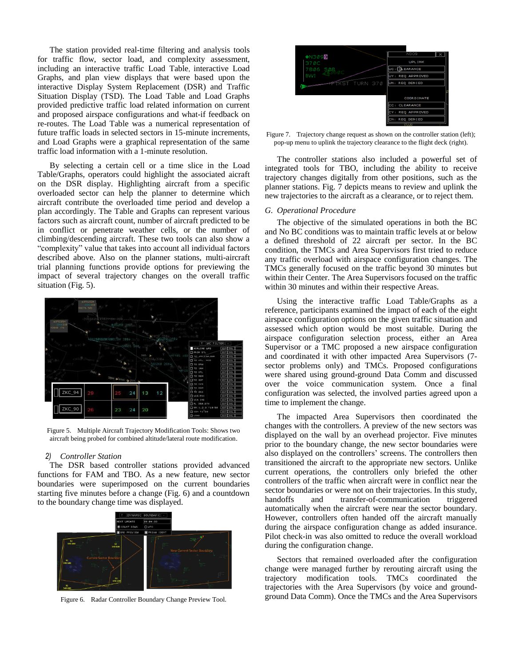The station provided real-time filtering and analysis tools for traffic flow, sector load, and complexity assessment, including an interactive traffic Load Table, interactive Load Graphs, and plan view displays that were based upon the interactive Display System Replacement (DSR) and Traffic Situation Display (TSD). The Load Table and Load Graphs provided predictive traffic load related information on current and proposed airspace configurations and what-if feedback on re-routes. The Load Table was a numerical representation of future traffic loads in selected sectors in 15-minute increments, and Load Graphs were a graphical representation of the same traffic load information with a 1-minute resolution.

By selecting a certain cell or a time slice in the Load Table/Graphs, operators could highlight the associated aicraft on the DSR display. Highlighting aircraft from a specific overloaded sector can help the planner to determine which aircraft contribute the overloaded time period and develop a plan accordingly. The Table and Graphs can represent various factors such as aircraft count, number of aircraft predicted to be in conflict or penetrate weather cells, or the number of climbing/descending aircraft. These two tools can also show a "complexity" value that takes into account all individual factors described above. Also on the planner stations, multi-aircraft trial planning functions provide options for previewing the impact of several trajectory changes on the overall traffic situation (Fig. 5).



Figure 5. Multiple Aircraft Trajectory Modification Tools: Shows two aircraft being probed for combined altitude/lateral route modification.

#### *2) Controller Station*

The DSR based controller stations provided advanced functions for FAM and TBO. As a new feature, new sector boundaries were superimposed on the current boundaries starting five minutes before a change (Fig. 6) and a countdown to the boundary change time was displayed.



Figure 6. Radar Controller Boundary Change Preview Tool.



Figure 7. Trajectory change request as shown on the controller station (left); pop-up menu to uplink the trajectory clearance to the flight deck (right).

The controller stations also included a powerful set of integrated tools for TBO, including the ability to receive trajectory changes digitally from other positions, such as the planner stations. Fig. 7 depicts means to review and uplink the new trajectories to the aircraft as a clearance, or to reject them.

#### *G. Operational Procedure*

The objective of the simulated operations in both the BC and No BC conditions was to maintain traffic levels at or below a defined threshold of 22 aircraft per sector. In the BC condition, the TMCs and Area Supervisors first tried to reduce any traffic overload with airspace configuration changes. The TMCs generally focused on the traffic beyond 30 minutes but within their Center. The Area Supervisors focused on the traffic within 30 minutes and within their respective Areas.

Using the interactive traffic Load Table/Graphs as a reference, participants examined the impact of each of the eight airspace configuration options on the given traffic situation and assessed which option would be most suitable. During the airspace configuration selection process, either an Area Supervisor or a TMC proposed a new airspace configuration and coordinated it with other impacted Area Supervisors (7 sector problems only) and TMCs. Proposed configurations were shared using ground-ground Data Comm and discussed over the voice communication system. Once a final configuration was selected, the involved parties agreed upon a time to implement the change.

The impacted Area Supervisors then coordinated the changes with the controllers. A preview of the new sectors was displayed on the wall by an overhead projector. Five minutes prior to the boundary change, the new sector boundaries were also displayed on the controllers' screens. The controllers then transitioned the aircraft to the appropriate new sectors. Unlike current operations, the controllers only briefed the other controllers of the traffic when aircraft were in conflict near the sector boundaries or were not on their trajectories. In this study, handoffs and transfer-of-communication triggered automatically when the aircraft were near the sector boundary. However, controllers often handed off the aircraft manually during the airspace configuration change as added insurance. Pilot check-in was also omitted to reduce the overall workload during the configuration change.

Sectors that remained overloaded after the configuration change were managed further by rerouting aircraft using the trajectory modification tools. TMCs coordinated the trajectories with the Area Supervisors (by voice and groundground Data Comm). Once the TMCs and the Area Supervisors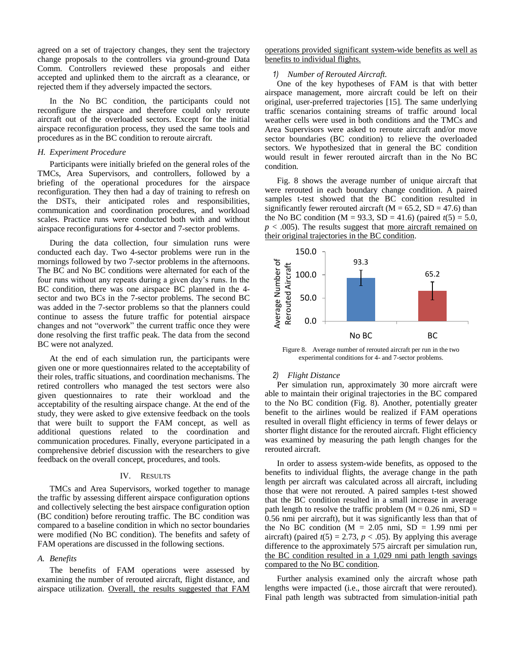agreed on a set of trajectory changes, they sent the trajectory change proposals to the controllers via ground-ground Data Comm. Controllers reviewed these proposals and either accepted and uplinked them to the aircraft as a clearance, or rejected them if they adversely impacted the sectors.

In the No BC condition, the participants could not reconfigure the airspace and therefore could only reroute aircraft out of the overloaded sectors. Except for the initial airspace reconfiguration process, they used the same tools and procedures as in the BC condition to reroute aircraft.

#### *H. Experiment Procedure*

Participants were initially briefed on the general roles of the TMCs, Area Supervisors, and controllers, followed by a briefing of the operational procedures for the airspace reconfiguration. They then had a day of training to refresh on the DSTs, their anticipated roles and responsibilities, communication and coordination procedures, and workload scales. Practice runs were conducted both with and without airspace reconfigurations for 4-sector and 7-sector problems.

During the data collection, four simulation runs were conducted each day. Two 4-sector problems were run in the mornings followed by two 7-sector problems in the afternoons. The BC and No BC conditions were alternated for each of the four runs without any repeats during a given day"s runs. In the BC condition, there was one airspace BC planned in the 4 sector and two BCs in the 7-sector problems. The second BC was added in the 7-sector problems so that the planners could continue to assess the future traffic for potential airspace changes and not "overwork" the current traffic once they were done resolving the first traffic peak. The data from the second BC were not analyzed.

At the end of each simulation run, the participants were given one or more questionnaires related to the acceptability of their roles, traffic situations, and coordination mechanisms. The retired controllers who managed the test sectors were also given questionnaires to rate their workload and the acceptability of the resulting airspace change. At the end of the study, they were asked to give extensive feedback on the tools that were built to support the FAM concept, as well as additional questions related to the coordination and communication procedures. Finally, everyone participated in a comprehensive debrief discussion with the researchers to give feedback on the overall concept, procedures, and tools.

#### IV. RESULTS

TMCs and Area Supervisors, worked together to manage the traffic by assessing different airspace configuration options and collectively selecting the best airspace configuration option (BC condition) before rerouting traffic. The BC condition was compared to a baseline condition in which no sector boundaries were modified (No BC condition). The benefits and safety of FAM operations are discussed in the following sections.

#### *A. Benefits*

The benefits of FAM operations were assessed by examining the number of rerouted aircraft, flight distance, and airspace utilization. Overall, the results suggested that FAM operations provided significant system-wide benefits as well as benefits to individual flights.

#### *1) Number of Rerouted Aircraft.*

One of the key hypotheses of FAM is that with better airspace management, more aircraft could be left on their original, user-preferred trajectories [15]. The same underlying traffic scenarios containing streams of traffic around local weather cells were used in both conditions and the TMCs and Area Supervisors were asked to reroute aircraft and/or move sector boundaries (BC condition) to relieve the overloaded sectors. We hypothesized that in general the BC condition would result in fewer rerouted aircraft than in the No BC condition.

Fig. 8 shows the average number of unique aircraft that were rerouted in each boundary change condition. A paired samples t-test showed that the BC condition resulted in significantly fewer rerouted aircraft ( $M = 65.2$ ,  $SD = 47.6$ ) than the No BC condition (M = 93.3, SD = 41.6) (paired  $t(5) = 5.0$ ,  $p < .005$ ). The results suggest that more aircraft remained on their original trajectories in the BC condition.



Figure 8. Average number of rerouted aircraft per run in the two experimental conditions for 4- and 7-sector problems.

## *2) Flight Distance*

Per simulation run, approximately 30 more aircraft were able to maintain their original trajectories in the BC compared to the No BC condition (Fig. 8). Another, potentially greater benefit to the airlines would be realized if FAM operations resulted in overall flight efficiency in terms of fewer delays or shorter flight distance for the rerouted aircraft. Flight efficiency was examined by measuring the path length changes for the rerouted aircraft.

In order to assess system-wide benefits, as opposed to the benefits to individual flights, the average change in the path length per aircraft was calculated across all aircraft, including those that were not rerouted. A paired samples t-test showed that the BC condition resulted in a small increase in average path length to resolve the traffic problem ( $M = 0.26$  nmi,  $SD =$ 0.56 nmi per aircraft), but it was significantly less than that of the No BC condition ( $M = 2.05$  nmi,  $SD = 1.99$  nmi per aircraft) (paired  $t(5) = 2.73$ ,  $p < .05$ ). By applying this average difference to the approximately 575 aircraft per simulation run, the BC condition resulted in a 1,029 nmi path length savings compared to the No BC condition.

Further analysis examined only the aircraft whose path lengths were impacted (i.e., those aircraft that were rerouted). Final path length was subtracted from simulation-initial path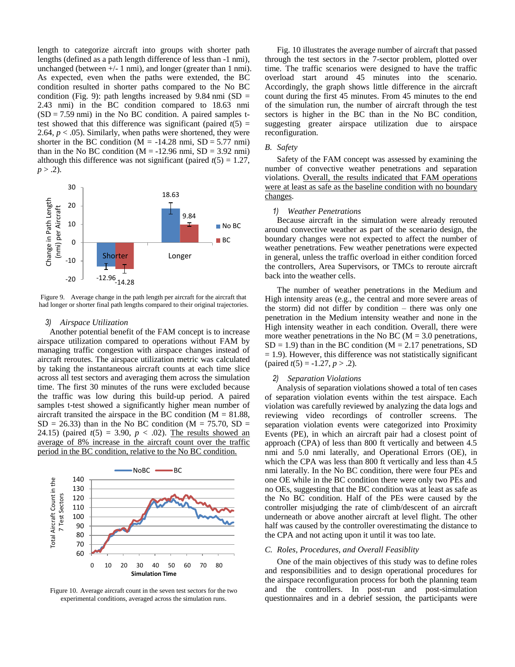length to categorize aircraft into groups with shorter path lengths (defined as a path length difference of less than -1 nmi), unchanged (between  $+/- 1$  nmi), and longer (greater than 1 nmi). As expected, even when the paths were extended, the BC condition resulted in shorter paths compared to the No BC condition (Fig. 9): path lengths increased by 9.84 nmi  $(SD =$ 2.43 nmi) in the BC condition compared to 18.63 nmi  $(SD = 7.59$  nmi) in the No BC condition. A paired samples ttest showed that this difference was significant (paired  $t(5)$  = 2.64,  $p < .05$ ). Similarly, when paths were shortened, they were shorter in the BC condition  $(M = -14.28 \text{ nm}$ ; SD = 5.77 nmi) than in the No BC condition  $(M = -12.96 \text{ nm}$ ; SD = 3.92 nmi) although this difference was not significant (paired  $t(5) = 1.27$ ,  $p > .2$ ).



Figure 9. Average change in the path length per aircraft for the aircraft that had longer or shorter final path lengths compared to their original trajectories.

#### *3) Airspace Utilization*

Another potential benefit of the FAM concept is to increase airspace utilization compared to operations without FAM by managing traffic congestion with airspace changes instead of aircraft reroutes. The airspace utilization metric was calculated by taking the instantaneous aircraft counts at each time slice across all test sectors and averaging them across the simulation time. The first 30 minutes of the runs were excluded because the traffic was low during this build-up period. A paired samples t-test showed a significantly higher mean number of aircraft transited the airspace in the BC condition  $(M = 81.88,$  $SD = 26.33$ ) than in the No BC condition (M = 75.70, SD = 24.15) (paired  $t(5) = 3.90, p < .02$ ). The results showed an average of 8% increase in the aircraft count over the traffic period in the BC condition, relative to the No BC condition.



Figure 10. Average aircraft count in the seven test sectors for the two experimental conditions, averaged across the simulation runs.

Fig. 10 illustrates the average number of aircraft that passed through the test sectors in the 7-sector problem, plotted over time. The traffic scenarios were designed to have the traffic overload start around 45 minutes into the scenario. Accordingly, the graph shows little difference in the aircraft count during the first 45 minutes. From 45 minutes to the end of the simulation run, the number of aircraft through the test sectors is higher in the BC than in the No BC condition, suggesting greater airspace utilization due to airspace reconfiguration.

#### *B. Safety*

Safety of the FAM concept was assessed by examining the number of convective weather penetrations and separation violations. Overall, the results indicated that FAM operations were at least as safe as the baseline condition with no boundary changes.

#### *1) Weather Penetrations*

Because aircraft in the simulation were already rerouted around convective weather as part of the scenario design, the boundary changes were not expected to affect the number of weather penetrations. Few weather penetrations were expected in general, unless the traffic overload in either condition forced the controllers, Area Supervisors, or TMCs to reroute aircraft back into the weather cells.

The number of weather penetrations in the Medium and High intensity areas (e.g., the central and more severe areas of the storm) did not differ by condition – there was only one penetration in the Medium intensity weather and none in the High intensity weather in each condition. Overall, there were more weather penetrations in the No BC ( $M = 3.0$  penetrations,  $SD = 1.9$ ) than in the BC condition (M = 2.17 penetrations, SD  $= 1.9$ ). However, this difference was not statistically significant  $\text{(paired } t(5) = -1.27, p > .2).$ 

## *2) Separation Violations*

Analysis of separation violations showed a total of ten cases of separation violation events within the test airspace. Each violation was carefully reviewed by analyzing the data logs and reviewing video recordings of controller screens. The separation violation events were categorized into Proximity Events (PE), in which an aircraft pair had a closest point of approach (CPA) of less than 800 ft vertically and between 4.5 nmi and 5.0 nmi laterally, and Operational Errors (OE), in which the CPA was less than 800 ft vertically and less than 4.5 nmi laterally. In the No BC condition, there were four PEs and one OE while in the BC condition there were only two PEs and no OEs, suggesting that the BC condition was at least as safe as the No BC condition. Half of the PEs were caused by the controller misjudging the rate of climb/descent of an aircraft underneath or above another aircraft at level flight. The other half was caused by the controller overestimating the distance to the CPA and not acting upon it until it was too late.

#### *C. Roles, Procedures, and Overall Feasiblity*

One of the main objectives of this study was to define roles and responsibilities and to design operational procedures for the airspace reconfiguration process for both the planning team and the controllers. In post-run and post-simulation questionnaires and in a debrief session, the participants were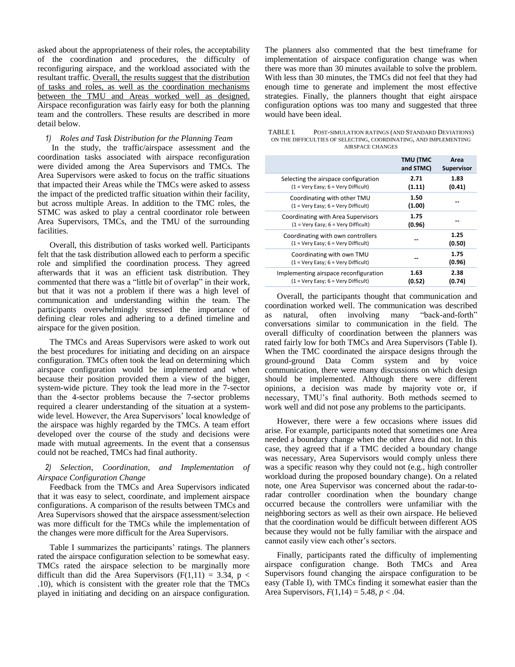asked about the appropriateness of their roles, the acceptability of the coordination and procedures, the difficulty of reconfiguring airspace, and the workload associated with the resultant traffic. Overall, the results suggest that the distribution of tasks and roles, as well as the coordination mechanisms between the TMU and Areas worked well as designed. Airspace reconfiguration was fairly easy for both the planning team and the controllers. These results are described in more detail below.

## *1) Roles and Task Distribution for the Planning Team*

In the study, the traffic/airspace assessment and the coordination tasks associated with airspace reconfiguration were divided among the Area Supervisors and TMCs. The Area Supervisors were asked to focus on the traffic situations that impacted their Areas while the TMCs were asked to assess the impact of the predicted traffic situation within their facility, but across multiple Areas. In addition to the TMC roles, the STMC was asked to play a central coordinator role between Area Supervisors, TMCs, and the TMU of the surrounding facilities.

Overall, this distribution of tasks worked well. Participants felt that the task distribution allowed each to perform a specific role and simplified the coordination process. They agreed afterwards that it was an efficient task distribution. They commented that there was a "little bit of overlap" in their work, but that it was not a problem if there was a high level of communication and understanding within the team. The participants overwhelmingly stressed the importance of defining clear roles and adhering to a defined timeline and airspace for the given position.

The TMCs and Areas Supervisors were asked to work out the best procedures for initiating and deciding on an airspace configuration. TMCs often took the lead on determining which airspace configuration would be implemented and when because their position provided them a view of the bigger, system-wide picture. They took the lead more in the 7-sector than the 4-sector problems because the 7-sector problems required a clearer understanding of the situation at a systemwide level. However, the Area Supervisors' local knowledge of the airspace was highly regarded by the TMCs. A team effort developed over the course of the study and decisions were made with mutual agreements. In the event that a consensus could not be reached, TMCs had final authority.

## *2) Selection, Coordination, and Implementation of Airspace Configuration Change*

Feedback from the TMCs and Area Supervisors indicated that it was easy to select, coordinate, and implement airspace configurations. A comparison of the results between TMCs and Area Supervisors showed that the airspace assessment/selection was more difficult for the TMCs while the implementation of the changes were more difficult for the Area Supervisors.

Table I summarizes the participants' ratings. The planners rated the airspace configuration selection to be somewhat easy. TMCs rated the airspace selection to be marginally more difficult than did the Area Supervisors ( $F(1,11) = 3.34$ ,  $p <$ .10), which is consistent with the greater role that the TMCs played in initiating and deciding on an airspace configuration.

The planners also commented that the best timeframe for implementation of airspace configuration change was when there was more than 30 minutes available to solve the problem. With less than 30 minutes, the TMCs did not feel that they had enough time to generate and implement the most effective strategies. Finally, the planners thought that eight airspace configuration options was too many and suggested that three would have been ideal.

| TABLE I. | POST-SIMULATION RATINGS (AND STANDARD DEVIATIONS)                |
|----------|------------------------------------------------------------------|
|          | ON THE DIFFICULTIES OF SELECTING, COORDINATING, AND IMPLEMENTING |
|          | AIRSPACE CHANGES                                                 |

|                                                                                              | <b>TMU (TMC</b><br>and STMC) | Area<br><b>Supervisor</b> |
|----------------------------------------------------------------------------------------------|------------------------------|---------------------------|
| Selecting the airspace configuration<br>$(1 = \text{Very Easy}; 6 = \text{Very Difficult})$  | 2.71<br>(1.11)               | 1.83<br>(0.41)            |
| Coordinating with other TMU<br>$(1 = \text{Very Easy}; 6 = \text{Very Difficult})$           | 1.50<br>(1.00)               |                           |
| Coordinating with Area Supervisors<br>$(1 = \text{Very Easy}; 6 = \text{Very Difficult})$    | 1.75<br>(0.96)               |                           |
| Coordinating with own controllers<br>$(1 = \text{Very Easy}; 6 = \text{Very Difficult})$     |                              | 1.25<br>(0.50)            |
| Coordinating with own TMU<br>$(1 = \text{Very Easy}; 6 = \text{Very Difficult})$             |                              | 1.75<br>(0.96)            |
| Implementing airspace reconfiguration<br>$(1 = \text{Very Easy}; 6 = \text{Very Difficult})$ | 1.63<br>(0.52)               | 2.38<br>(0.74)            |

Overall, the participants thought that communication and coordination worked well. The communication was described as natural, often involving many "back-and-forth" conversations similar to communication in the field. The overall difficulty of coordination between the planners was rated fairly low for both TMCs and Area Supervisors (Table I). When the TMC coordinated the airspace designs through the ground-ground Data Comm system and by voice communication, there were many discussions on which design should be implemented. Although there were different opinions, a decision was made by majority vote or, if necessary, TMU"s final authority. Both methods seemed to work well and did not pose any problems to the participants.

However, there were a few occasions where issues did arise. For example, participants noted that sometimes one Area needed a boundary change when the other Area did not. In this case, they agreed that if a TMC decided a boundary change was necessary, Area Supervisors would comply unless there was a specific reason why they could not (e.g., high controller workload during the proposed boundary change). On a related note, one Area Supervisor was concerned about the radar-toradar controller coordination when the boundary change occurred because the controllers were unfamiliar with the neighboring sectors as well as their own airspace. He believed that the coordination would be difficult between different AOS because they would not be fully familiar with the airspace and cannot easily view each other's sectors.

Finally, participants rated the difficulty of implementing airspace configuration change. Both TMCs and Area Supervisors found changing the airspace configuration to be easy (Table I), with TMCs finding it somewhat easier than the Area Supervisors, *F*(1,14) = 5.48, *p* < .04.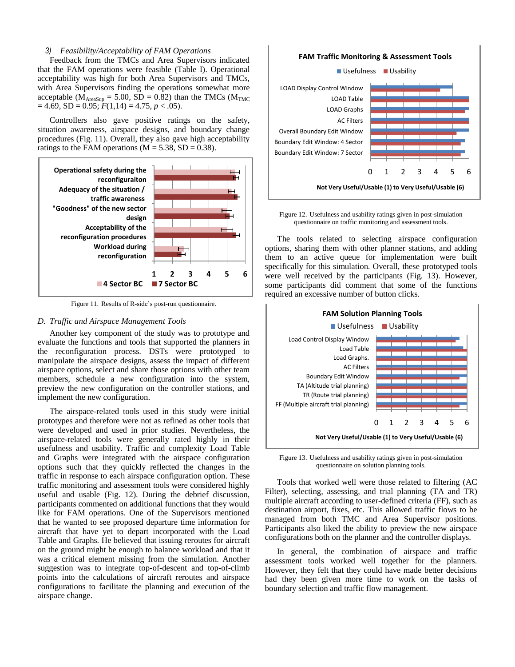#### *3) Feasibility/Acceptability of FAM Operations*

Feedback from the TMCs and Area Supervisors indicated that the FAM operations were feasible (Table I). Operational acceptability was high for both Area Supervisors and TMCs, with Area Supervisors finding the operations somewhat more acceptable ( $\dot{M}_{\text{AreaSun}}$  = 5.00, SD = 0.82) than the TMCs ( $M_{\text{TMC}}$  $= 4.69$ , SD = 0.95;  $F(1,14) = 4.75$ ,  $p < .05$ ).

Controllers also gave positive ratings on the safety, situation awareness, airspace designs, and boundary change procedures (Fig. 11). Overall, they also gave high acceptability ratings to the FAM operations ( $M = 5.38$ , SD = 0.38).



Figure 11. Results of R-side's post-run questionnaire.

## *D. Traffic and Airspace Management Tools*

Another key component of the study was to prototype and evaluate the functions and tools that supported the planners in the reconfiguration process. DSTs were prototyped to manipulate the airspace designs, assess the impact of different airspace options, select and share those options with other team members, schedule a new configuration into the system, preview the new configuration on the controller stations, and implement the new configuration.

The airspace-related tools used in this study were initial prototypes and therefore were not as refined as other tools that were developed and used in prior studies. Nevertheless, the airspace-related tools were generally rated highly in their usefulness and usability. Traffic and complexity Load Table and Graphs were integrated with the airspace configuration options such that they quickly reflected the changes in the traffic in response to each airspace configuration option. These traffic monitoring and assessment tools were considered highly useful and usable (Fig. 12). During the debrief discussion, participants commented on additional functions that they would like for FAM operations. One of the Supervisors mentioned that he wanted to see proposed departure time information for aircraft that have yet to depart incorporated with the Load Table and Graphs. He believed that issuing reroutes for aircraft on the ground might be enough to balance workload and that it was a critical element missing from the simulation. Another suggestion was to integrate top-of-descent and top-of-climb points into the calculations of aircraft reroutes and airspace configurations to facilitate the planning and execution of the airspace change.

#### **FAM Traffic Monitoring & Assessment Tools**



Figure 12. Usefulness and usability ratings given in post-simulation questionnaire on traffic monitoring and assessment tools.

The tools related to selecting airspace configuration options, sharing them with other planner stations, and adding them to an active queue for implementation were built specifically for this simulation. Overall, these prototyped tools were well received by the participants (Fig. 13). However, some participants did comment that some of the functions required an excessive number of button clicks.



Figure 13. Usefulness and usability ratings given in post-simulation questionnaire on solution planning tools.

Tools that worked well were those related to filtering (AC Filter), selecting, assessing, and trial planning (TA and TR) multiple aircraft according to user-defined criteria (FF), such as destination airport, fixes, etc. This allowed traffic flows to be managed from both TMC and Area Supervisor positions. Participants also liked the ability to preview the new airspace configurations both on the planner and the controller displays.

In general, the combination of airspace and traffic assessment tools worked well together for the planners. However, they felt that they could have made better decisions had they been given more time to work on the tasks of boundary selection and traffic flow management.